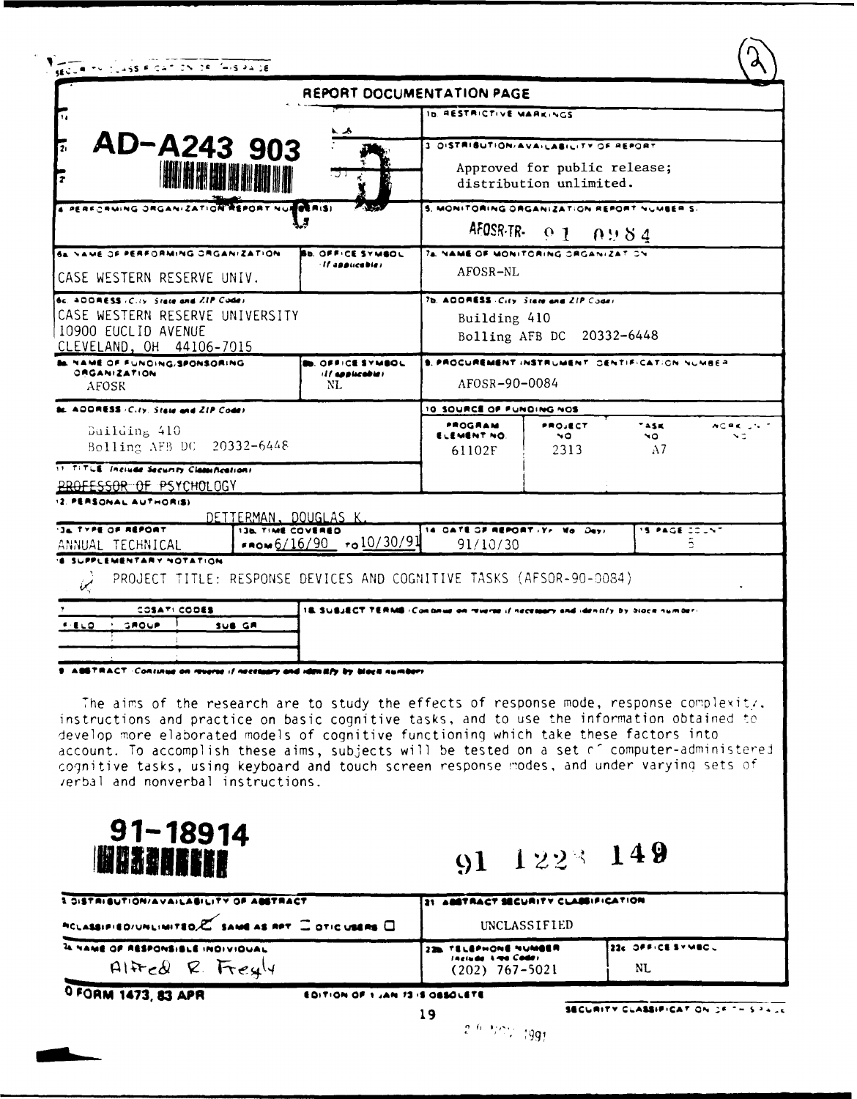| AD-A243 903                                                                                                                                                                                                                                                                                                                                                                                                                                                                                                         |                                                                                                |                                                                                   |                               |                                                                |  |
|---------------------------------------------------------------------------------------------------------------------------------------------------------------------------------------------------------------------------------------------------------------------------------------------------------------------------------------------------------------------------------------------------------------------------------------------------------------------------------------------------------------------|------------------------------------------------------------------------------------------------|-----------------------------------------------------------------------------------|-------------------------------|----------------------------------------------------------------|--|
|                                                                                                                                                                                                                                                                                                                                                                                                                                                                                                                     |                                                                                                |                                                                                   | ID. RESTRICTIVE MARKINGS      |                                                                |  |
|                                                                                                                                                                                                                                                                                                                                                                                                                                                                                                                     |                                                                                                | 3. DISTRIBUTION/AVAILABILITY OF REPORT                                            |                               |                                                                |  |
| <b>IN HAM BANI II</b><br>$\overline{r}$                                                                                                                                                                                                                                                                                                                                                                                                                                                                             |                                                                                                | Approved for public release;<br>distribution unlimited.                           |                               |                                                                |  |
| 4 PERFORMING ORGANIZATION REPORT NUMBERISI                                                                                                                                                                                                                                                                                                                                                                                                                                                                          | ል አላ                                                                                           | 5. MONITORING ORGANIZATION REPORT NUMBER S.                                       |                               |                                                                |  |
|                                                                                                                                                                                                                                                                                                                                                                                                                                                                                                                     |                                                                                                | AFOSR-TR-                                                                         | $\overline{0}$ 1              | 0.984                                                          |  |
| 64 NAME OF PERFORMING ORGANIZATION<br>CASE WESTERN RESERVE UNIV.                                                                                                                                                                                                                                                                                                                                                                                                                                                    | <b>BU. OFFICE SYMBOL</b><br><b>If applicable)</b>                                              | 74. NAME OF MONITORING ORGANIZATION<br>AFOSR-NL                                   |                               |                                                                |  |
| 6c. ADDRESS (City, State and ZIP Code)<br>CASE WESTERN RESERVE UNIVERSITY<br>10900 EUCLID AVENUE<br>CLEVELAND, OH 44106-7015                                                                                                                                                                                                                                                                                                                                                                                        |                                                                                                | 7b. ADORESS City State and ZIP Coder<br>Building 410<br>Bolling AFB DC 20332-6448 |                               |                                                                |  |
| ME OF FUNDING/SPONSORING<br><b>GRGANIZATION</b><br><b>AFOSR</b>                                                                                                                                                                                                                                                                                                                                                                                                                                                     | <b>ID. OFFICE SYMBOL</b><br>ill applicables<br>NL.                                             | S. PROCUREMENT INSTRUMENT CENTIFICATION NUMBER<br>AFOSR-90-0084                   |                               |                                                                |  |
| <b>ADDRESS</b> (City, State and ZIP Code)                                                                                                                                                                                                                                                                                                                                                                                                                                                                           |                                                                                                | 10 SOURCE OF FUNDING NOS                                                          |                               |                                                                |  |
| Building 410<br>Bolling AFB DC 20332-6448                                                                                                                                                                                                                                                                                                                                                                                                                                                                           |                                                                                                | PROGRAM<br>ELEMENT NO.<br>61102F                                                  | PROJECT<br>$\sim$<br>2313     | TASK <sup>-</sup><br>$AC = C \cdot 10^{-4}$<br>NO.<br>ND<br>A7 |  |
| 11 TITLE Include Security Classifications<br>PROFESSOR OF PSYCHOLOGY                                                                                                                                                                                                                                                                                                                                                                                                                                                |                                                                                                |                                                                                   |                               |                                                                |  |
| 2. PERSONAL AUTHORIS)                                                                                                                                                                                                                                                                                                                                                                                                                                                                                               |                                                                                                |                                                                                   |                               |                                                                |  |
| JA TYPE OF REPORT<br>ANNUAL TECHNICAL                                                                                                                                                                                                                                                                                                                                                                                                                                                                               | <u>DETTERMAN, DOUGLAS K</u><br><b>136 TIME COVERED</b><br>$\sqrt{6/16/90}$ $\sqrt{0.10/30/91}$ |                                                                                   | 14 OATE OF REPORT IT. Me Days | IS PAGE COUNT                                                  |  |
| <b>SUPPLEMENTARY NOTATION</b><br>PROJECT TITLE: RESPONSE DEVICES AND COGNITIVE TASKS (AFSOR-90-0084)<br>U                                                                                                                                                                                                                                                                                                                                                                                                           |                                                                                                |                                                                                   |                               |                                                                |  |
| COSATI CODES                                                                                                                                                                                                                                                                                                                                                                                                                                                                                                        | 18. SUBJECT TERMS (Continue on reverse if necessary and identify by block number)              |                                                                                   |                               |                                                                |  |
| GROUP<br>SUB GR                                                                                                                                                                                                                                                                                                                                                                                                                                                                                                     |                                                                                                |                                                                                   |                               |                                                                |  |
| 9. ASSTRACT: Consinue on revorse if necessary and identify by black number                                                                                                                                                                                                                                                                                                                                                                                                                                          |                                                                                                |                                                                                   |                               |                                                                |  |
| The aims of the research are to study the effects of response mode, response complexitz.<br>instructions and practice on basic cognitive tasks, and to use the information obtained to<br>develop more elaborated models of cognitive functioning which take these factors into<br>account. To accomplish these aims, subjects will be tested on a set of computer-administered<br>cognitive tasks, using keyboard and touch screen response modes, and under varying sets of<br>verbal and nonverbal instructions. |                                                                                                |                                                                                   |                               |                                                                |  |

| <b>1 DISTRIBUTION/AVAILABILITY OF ABSTRACT</b>                             | <b>EST ABSTRACT SECURITY CLASSIFICATION</b>                           |                           |  |
|----------------------------------------------------------------------------|-----------------------------------------------------------------------|---------------------------|--|
| ACLASSIFIED/UNLIMITED.C SAME AS RPT COTIC USERS C                          | UNCLASSIFIED                                                          |                           |  |
| <b>A NAME OF RESPONSIBLE INDIVIDUAL</b><br>$A H \in \mathcal{Q}$ R. Freely | <b>226 TELEPHONE NUMBER</b><br>Include Area Codes<br>$(202)$ 767-5021 | 1226 OFFICE SYMBOL<br>NL. |  |

O FORM 1473, 83 APR

EDITION OF 1 JAN 73 IS OBSOLETE

 $19$ 

 $\langle 2^{-\ell_1-1}/\cap \mathcal{V} \rangle / 1991$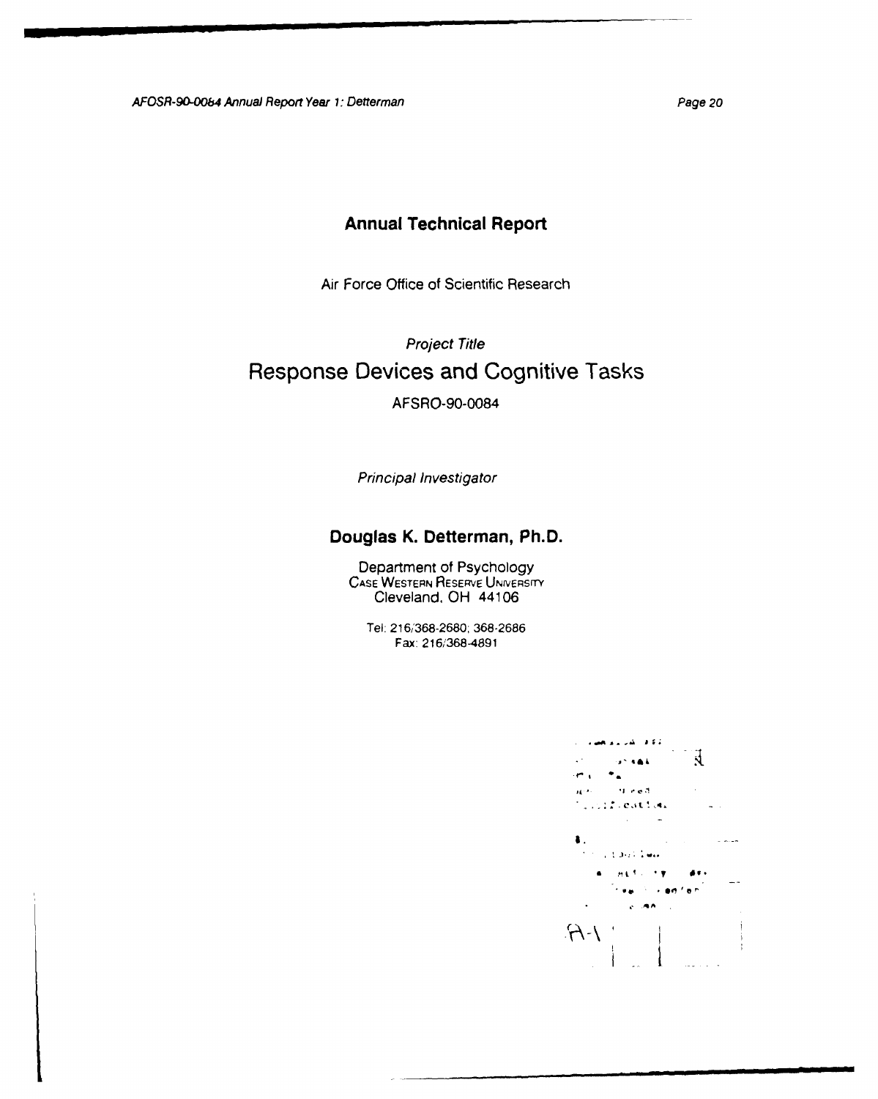AFOSR-90-0064 Annual Report Year *1:* Detterman Page 20

# **Annual Technical Report**

Air Force Office of Scientific Research

Project Title

# **Response Devices and Cognitive Tasks**

AFSRO-90-0084

Principal Investigator

## **Douglas K. Detterman, Ph.D.**

Department of Psychology **CASE WESTERN** RESERVE UNIVERsry Cleveland, OH 44106

Tel: **216/368-2680, 368-2686** Fax: **216/368-4891**

الكفاف المرابط لمقادات  $\sim$   $\sim$  $\mathfrak{F}$  $\ddotsc$  $\mathbf{u}^{\mathbf{v}}$  sat. **Cot-** -  $\alpha$  red.  $\mathbf{H}^{(0,0)}$  . TELEVISION.  $\sim$  $\sim 1.002$  . Two  $H$  and  $H$  and  $H$  and  $H$ .<br>Teachdraidhean **RIGAN**  $AA$  $\mathbf{I}$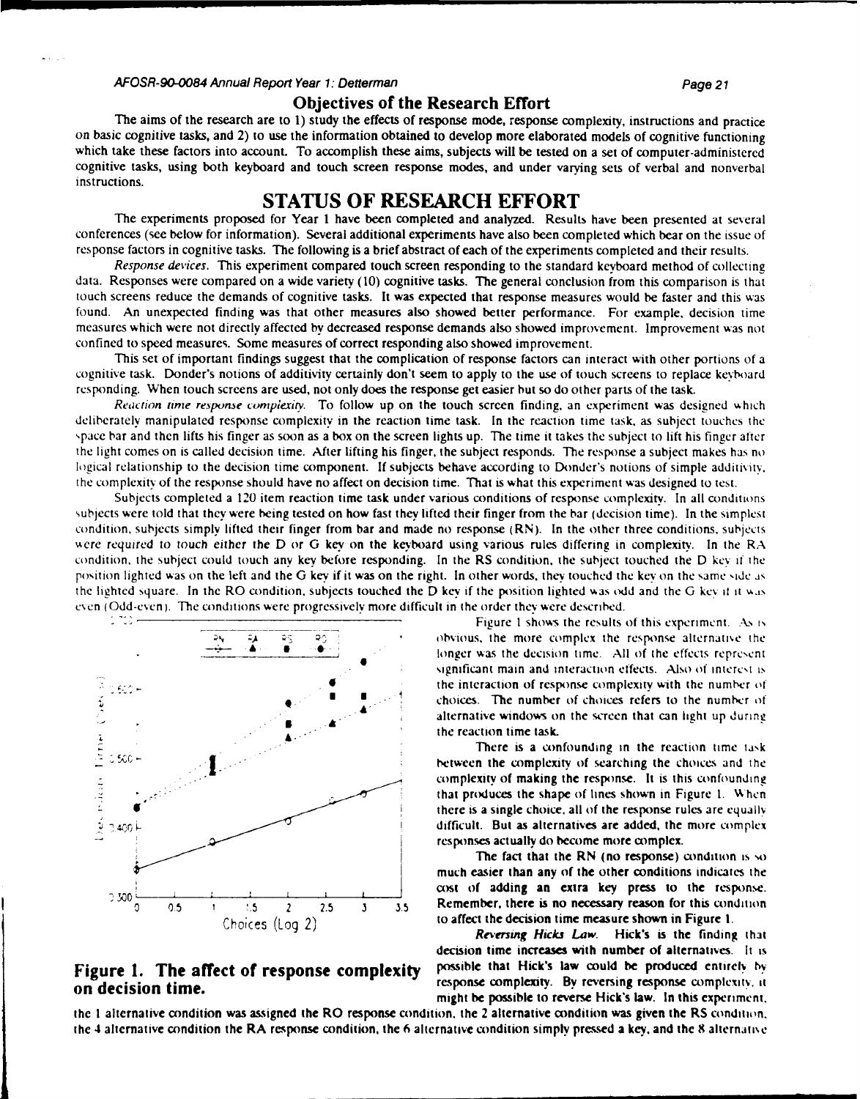#### AFOSR-90-O84 Annual Report Year **1:** Detterman Page 21

#### **Objectives of the Research Effort**

The aims of the research are to 1) study the effects of response mode, response complexity, instructions and practice on basic cognitive tasks, and 2) to use the information obtained to develop more elaborated models of cognitive functioning which take these factors into account. To accomplish these aims, subjects will be tested on a set of computer-administered cognitive tasks, using both keyboard and touch screen response modes, and under varying sets of verbal and nonverbal instructions.

### **STATUS OF RESEARCH EFFORT**

The experiments proposed for Year 1 have been completed and analyzed. Results have been presented at several conferences (see below for information). Several additional experiments have also been completed which bear on the issue of response factors in cognitive tasks. The following is a brief abstract of each of the experiments completed and their results.

Response devices. This experiment compared touch screen responding to the standard keyboard method of collecting data. Responses were compared on a wide variety (10) cognitive tasks. The general conclusion from this comparison is that touch screens reduce the demands of cognitive tasks. It was expected that response measures would be faster and this was found. An unexpected finding was that other measures also showed better performance. For example. decision time measures which were not directly affected by decreased response demands also showed improvement. Improvement was not confined to speed measures. Some measures of correct responding also showed improvement.

This set of important findings suggest that the complication of response factors can interact with other portions of a cognitive task. Donder's notions of additivity certainly don't seem to apply to the use of touch screens to replace keyboard responding. When touch screens are used, not only does the response get easier but so do other parts of the task.

*Reaction time response complexity.* To follow up on the touch screen finding, an experiment was designed which deliberately manipulated response complexity in the reaction time task. In the reaction time task. as subject touches the ,pace bar and then lifts his finger as soon as a box on the screen lights up. The time it takes the subject to lift his finger after the light comes on is called decision time. After lifting his finger, the subject responds. The response a subject makes has no logical relationship to the decision time component. If subjects behave according to Donder's notions of simple additivity, the complexity of the response should have no affect on decision time. That is what this experiment was designed to test.

Subjects completed a 120 item reaction time task under various conditions of response complexity. In all conditions subjects were told that they were being tested on how fast they lifted their finger from the bar (decision time). In the simplest condition, subjects simply lifted their finger from bar and made no response (RN). In the other three conditions, subjects *"ere* required to touch either the D or **G key** on the keyboard using various rules differing in complexity. In the RA condition, the subject could touch any key before responding. In the RS condition, the subject touched the D **key** if the position lighted was on the left and the **G** key if it was on the right. In other words. they touched the **key** on the same **'ide as** the lighted square. In the RO condition, subjects touched the D key if the position lighted was odd and the G key it it was even (Odd-even). The conditions were progressively more difficult in the order they were described.



# **on decision time. response complexity.** By reversing response complexity. **it on decision time.**

Figure 1 shows the results of this experiment. As is **;;,A** obvious, the more complex the response alternatioe the longer was the decision time. All of the effects represent significant main and interaction effects. Also of interest is the interaction of response complexity with the number of **4** *1* choices. The number of choices refers to the number **of** \* **.** alternative windows on the screen that **can** ight up during

between the complexity of searching the choices and the complexity of making the response. It is this confounding that produces the shape of lines shown in Figure 1. When there is a single choice, all of the response rules are equally  $\frac{1}{2400}$  **...**  $\frac{1}{2400}$  **...** It as alternatives are added, the more complex responses actually do become more complex.

The fact that the RN (no response) condition is so much easier than any **of** the other conditions indicates the cost of adding an extra **key** press to the response. **0 0.5 1 !.5** *2* 2.5 3 **3.5** Remember, there is no necessary reason for this condition Choices (Log 2) to affect the decision time measure shown in Figure **1.**

*Reversing Hicks Law.* Hick's is the finding that decision time increases with number of alternatives. It is **Figure 1. The affect of response complexity** possible that Hick's law could be produced entirely **by** might be possible to reverse Hick's law. In this experiment.

the **I** alternative condition was assigned the RO response condition, the 2 alternative condition was given the RS condition,. the 4 alternative condition the RA response condition, the **6** alternative condition simply pressed a **key.** and the **8** alternatise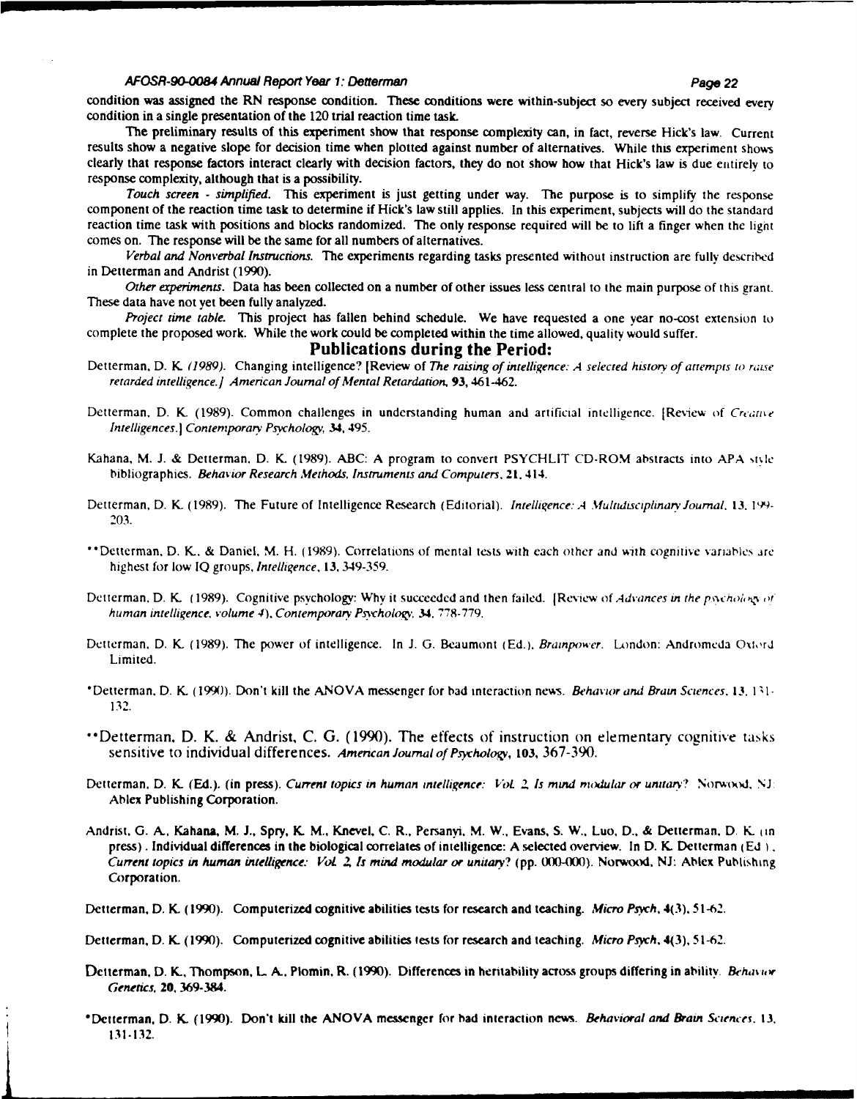#### **AFOSR-90-O084** Annual Report Year **1:** Detterman Page 22

condition was assigned the RN response condition. These conditions were within-subject so every subject received every condition in a single presentation of the 120 trial reaction time task.

The preliminary results of this experiment show that response complexity can, in fact, reverse Hick's law. Current results show a negative slope for decision time when plotted against number of alternatives. While this experiment shows clearly that response factors interact clearly with decision factors, they do not show how that Hick's law is due entirely to response complexity, although that is a possibility.

Touch screen *-* simplified. This experiment is just getting under way. The purpose is to simplify the response component of the reaction time task to determine if Hick's law still applies. In this experiment, subjects will do the standard reaction time task with positions and blocks randomized. The only response required will be to lift a finger when the **light** comes on. The response will be the same for all numbers of alternatives.

*Verbal and Nonverbal Instructions.* The experiments regarding tasks presented without instruction are fully described in Detterman and Andrist **(1990).**

*Other experiments.* Data has been collected on a number of other issues less central to the main purpose of this grant. These data have not **yet** been fully analyzed.

Project time *table.* This project has fallen behind schedule. We have requested a one year no-cost extension to complete the proposed work. While the work could be completed within the time allowed, quality would suffer.

#### **Publications during the Period:**

- Detterman, D. K (1989). Changing intelligence? [Review of *The raising of intelligence: A selected history of attempts to raise* retarded intelligence.] *American Journal of Mental Retardation,* **93,** 461-462.
- Detterman, D. K. (1989). Common challenges in understanding human and artificial intelligence. [Review of *Creative Intelligences.* **I** Contenporarv *Psychology* 34, 495.
- Kahana, M. J. & Detterman, D. K. (1989). ABC: A program to convert PSYCHLIT CD-ROM abstracts into APA style bibliographies. *Behavior Research Methods, Instruments and Computers.* 21, 414.
- Detterman, D. K. (1989). The Future of Intelligence Research (Editorial). *Intelligence: A Multidisciplinary Journal*, 13. 199-**203.**
- "Detterman, D. K. & Daniel, M. H. (1989). Correlations of mental tests with each other and %ith cognitive variables are highest for low IQ groups, Intelligence, *13,* 349-359.
- Detterman, D. K. (1989). Cognitive psychology: Why it succeeded and then failed. [Review of *Advances in the psychology of* human intelligence, volume 4), Contemporary Psychology, 34, 778-779.
- Detterman, D. K. (1989). The power of intelligence. In J. **G.** Beaumont (Ed.), Brainpower. London: Andromeda Oxord Limited.
- \*Detterman. D. K. (1990). Don't kill the ANOVA messenger for bad interaction news. *Behavior and Brain Sciences. 13.* 1 1- 132.
- Detterman. D. K. & Andrist, C. G. (1990). The effects of instruction on elementary cognitive tasks sensitive to individual differences. American Journal *of Prychologv,* **103,** 367-390.
- Detterman. D. K **(Ed.).** (in press). Current topics in human intelligence: *1, L 2 Is* mind modular *or unitarv?* Norwood. **NJ.** Ablex Publishing Corporation.
- Andrist. G. **A.** Kahana, M. **J.,** Spry, **K.** M., Knevel, C. R., Persanvi. M. W., Evans, S. W., Luo, **D.,** & Detterman. D. K. ,in press). Individual differences in the biological correlates of intelligence: A selected overview. In D. K. Detterman **(Ed** 1. *Current topics in human intelligence.- VoL Z Is mind modular or unitary?* (pp. 0(K-OMi0). Norwood, **NJ:** Ablex Publishing Corporation.
- Detterman. D. K. (1990). Computerized cognitive abilities tests for research and teaching. *Micro Psych,* **4(3).** 51-62.
- Detterman, D. K. (1990). Computerized cognitive abilities tests for research and teaching. *Micro Psych.* **4(3), 51-62.**
- Detterman, D. K., Thompson, L A.. Plomin, R. (1990). Differences in heritability across groups differing in ability. *Behav ow Genetics,* **20, 369-384.**
- "Dctterman, D. K. **(1990).** Don't kill the **ANOVA** messenger for had interaction news. Behavioral *and Brain Sciences.* **13.** 131-132.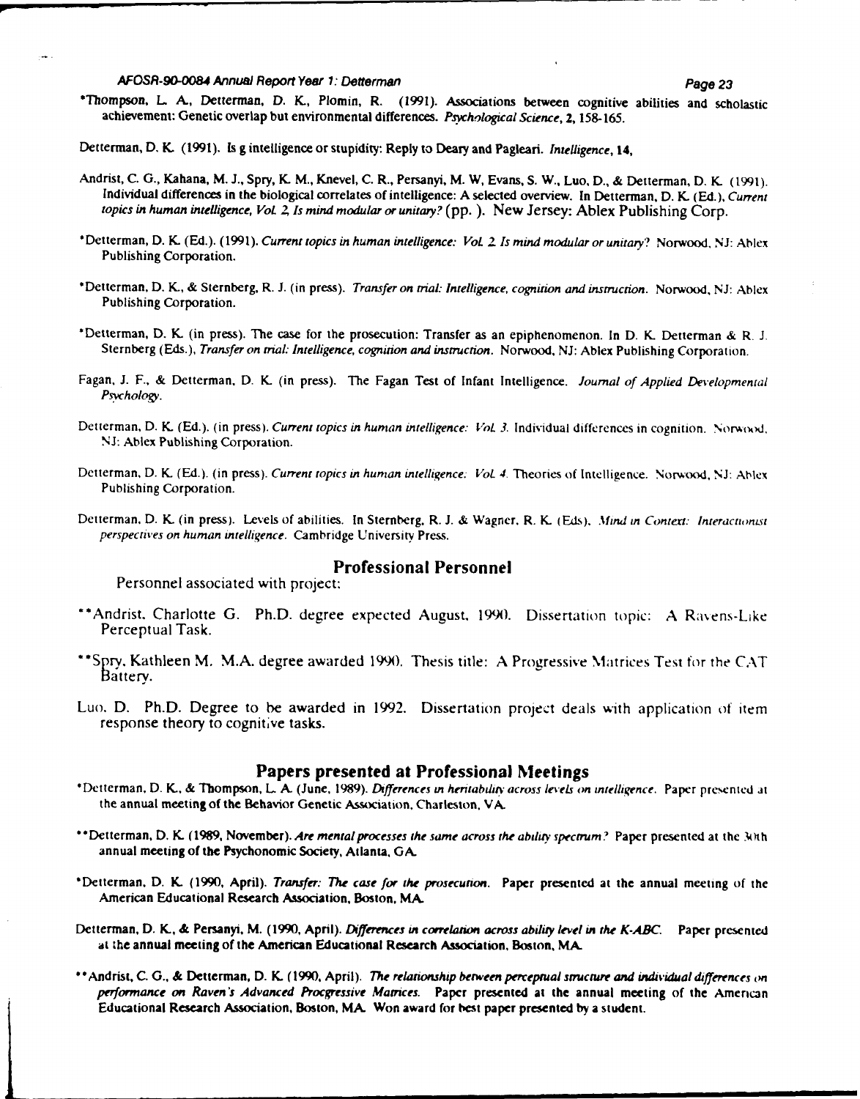#### AFOSR-90-0084 Annual Report Year **1:** Detterman Page **23**

\*Thompson, L **A.,** Detterman, **D. K., Plomin,** R. **(1991).** Associations between cognitive abilities and scholastic achievement: Genetic overlap but environmental differences. *Psychological Science,* **2, 158-165.**

Detterman, **D. K.** (1991). Is **g** intelligence or stupidity: Reply to Deary and Pagleari. Intelligence, **14,**

- Andrist, **C. G.,** Kahana, M. **J.,** Spry, **K.** M., Knevel, **C.** R., Persanyi, M. W, Evans, **S.** W., Luo, **D., &** Detterman, **D. K. (1991).** Individual differences in the biological correlates of intelligence: **A** selected overview. In Detterman, **D. K. (Ed.),** *Current topics in* human *intelligence, VoL 2, Is mind modular or unitary?* **(pp.).** New Jersey: Ablex Publishing Corp.
- \*Detterman, **D.** K. (Ed.). (1991). *Current topics in human intelligence: VoL 2 Is mind modular or unitary?* Norwood, NJ: Ablex Publishing Corporation.
- \*Detterman, D. K., & Sternberg, R. J. (in press). *Transfer on trial: Intelligence, cognition and instruction.* Norwood, NJ: Ablex Publishing Corporation.
- \*Detterman, D. K. (in press). The case for the prosecution: Transfer as an epiphenomenon. In D. K. Detterman & R. J. Sternberg (Eds.), *Transfer on trial: Intelligence, cognition and instruction.* Norwood, NJ: Ablex Publishing Corporation.
- Fagan, J. F., & Detterman, D. K. (in press). The Fagan Test of Infant Intelligence. *Journal of Applied Developmental Psychology.*
- Detterman, D. K. (Ed.). (in press). Current topics in human intelligence: Vol. 3. Individual differences in cognition. Norwood, **NJ:** Ablex Publishing Corporation.
- Detterman, D. K. (Ed.). (in press). *Current topics in human intelligence: Vol. 4*. Theories of Intelligence. Norwood, NJ: Ablex Publishing Corporation.
- Detterman, D. K. (in press). Levels of abilities. In Sternberg, R. **J.** & Wagner, R. K. **(Eds).** *Mind in Context: Interacttontl perspectives on human intelligence.* Cambridge University Press.

### Professional Personnel

Personnel associated with project:

- "Andrist. Charlotte G. Ph.D. degree expected August. **1990.** Dissertation topic: A Ravens-Like Perceptual Task.
- \*\*Spry. Kathleen M. M.A. degree awarded 1990. Thesis title: A Progressive Matrices Test for the CAT Battery.
- Luo. D. Ph.D. Degree to be awarded in 1992. Dissertation project deals with application **of** item response theory to cognitive tasks.

- Papers presented at Professional Meetings "Dctterman, **D.** K., & Thompson, L A. (June, 1989). *Differences in* heruabdttv *across levels on intelligence.* Paper presented at the annual meeting of the Behavior Genetic Association, Charleston, VA.
- \*\*Detterman, D. K. (1989, November). *Are mental processes the same across the ability spectrum?* Paper presented at the *Mi*th annual meeting of the Psychonomic Society, Atlanta, **GA.**
- "Detterman, D. K. (1990, April). *Transfer: The case for the prosecution.* Paper presented at the annual meeting of the American Educational Research Association, Boston. MA
- Detterman, D. K., & Persanyi, M. (1990, April). *Differences in correlation across ability level in the K-ABC*. Paper presented at the annual meeting of the American Educational Research Association, Boston, **MA**
- \*"Andrist, C. **G.,** & Detterman, **D.** K. (1990. April). *The relationship between perceptual structure and individual differences on performance on Raven's Advanced Procgressive Mamces.* Paper presented at the annual meeting of the American Educational Research Association, Boston, MA. Won award for best paper presented by a student.